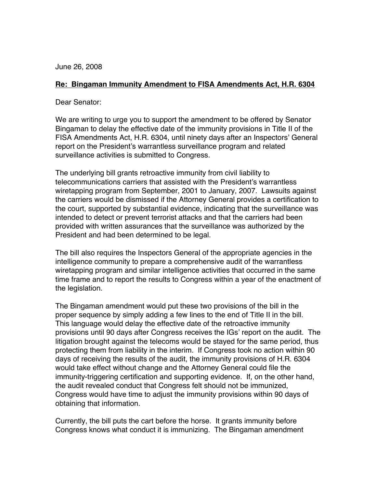June 26, 2008

## **Re: Bingaman Immunity Amendment to FISA Amendments Act, H.R. 6304**

Dear Senator:

We are writing to urge you to support the amendment to be offered by Senator Bingaman to delay the effective date of the immunity provisions in Title II of the FISA Amendments Act, H.R. 6304, until ninety days after an Inspectors' General report on the President's warrantless surveillance program and related surveillance activities is submitted to Congress.

The underlying bill grants retroactive immunity from civil liability to telecommunications carriers that assisted with the President's warrantless wiretapping program from September, 2001 to January, 2007. Lawsuits against the carriers would be dismissed if the Attorney General provides a certification to the court, supported by substantial evidence, indicating that the surveillance was intended to detect or prevent terrorist attacks and that the carriers had been provided with written assurances that the surveillance was authorized by the President and had been determined to be legal.

The bill also requires the Inspectors General of the appropriate agencies in the intelligence community to prepare a comprehensive audit of the warrantless wiretapping program and similar intelligence activities that occurred in the same time frame and to report the results to Congress within a year of the enactment of the legislation.

The Bingaman amendment would put these two provisions of the bill in the proper sequence by simply adding a few lines to the end of Title II in the bill. This language would delay the effective date of the retroactive immunity provisions until 90 days after Congress receives the IGs' report on the audit. The litigation brought against the telecoms would be stayed for the same period, thus protecting them from liability in the interim. If Congress took no action within 90 days of receiving the results of the audit, the immunity provisions of H.R. 6304 would take effect without change and the Attorney General could file the immunity-triggering certification and supporting evidence. If, on the other hand, the audit revealed conduct that Congress felt should not be immunized, Congress would have time to adjust the immunity provisions within 90 days of obtaining that information.

Currently, the bill puts the cart before the horse. It grants immunity before Congress knows what conduct it is immunizing. The Bingaman amendment